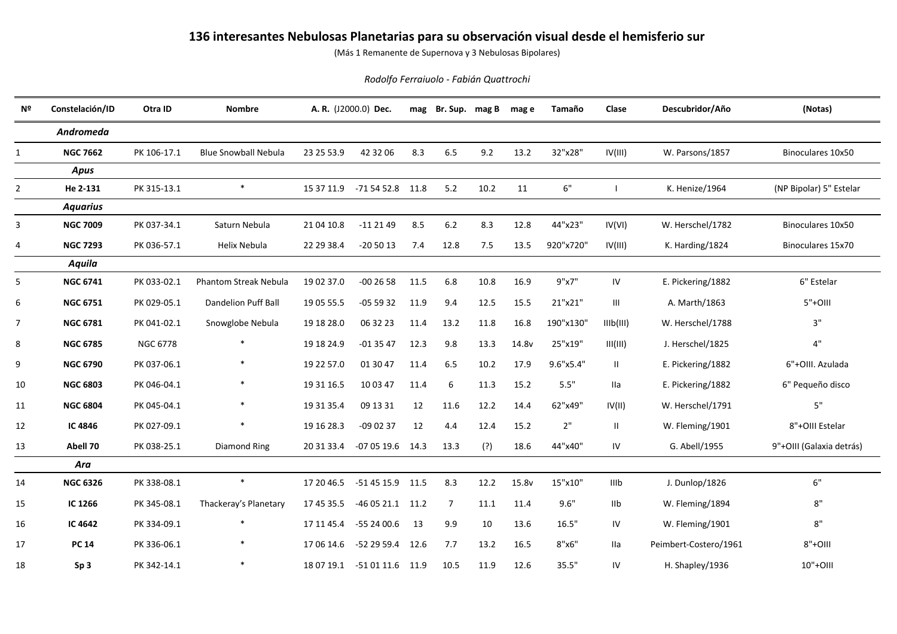## **136 interesantes Nebulosas Planetarias para su observación visual desde el hemisferio sur**

(Más 1 Remanente de Supernova y 3 Nebulosas Bipolares)

## *Rodolfo Ferraiuolo - Fabián Quattrochi*

| Nº             | Constelación/ID | Otra ID         | <b>Nombre</b>                |            | A. R. (J2000.0) Dec.        |      | mag Br. Sup. mag B |      | mag e | Tamaño    | Clase     | Descubridor/Año       | (Notas)                  |
|----------------|-----------------|-----------------|------------------------------|------------|-----------------------------|------|--------------------|------|-------|-----------|-----------|-----------------------|--------------------------|
|                | Andromeda       |                 |                              |            |                             |      |                    |      |       |           |           |                       |                          |
| 1              | <b>NGC 7662</b> | PK 106-17.1     | <b>Blue Snowball Nebula</b>  | 23 25 53.9 | 42 32 06                    | 8.3  | 6.5                | 9.2  | 13.2  | 32"x28"   | IV(III)   | W. Parsons/1857       | Binoculares 10x50        |
|                | <b>Apus</b>     |                 |                              |            |                             |      |                    |      |       |           |           |                       |                          |
| $\overline{2}$ | He 2-131        | PK 315-13.1     | $\ast$                       |            | 15 37 11.9 -71 54 52.8 11.8 |      | 5.2                | 10.2 | 11    | 6"        |           | K. Henize/1964        | (NP Bipolar) 5" Estelar  |
|                | <b>Aquarius</b> |                 |                              |            |                             |      |                    |      |       |           |           |                       |                          |
| 3              | <b>NGC 7009</b> | PK 037-34.1     | Saturn Nebula                | 21 04 10.8 | $-112149$                   | 8.5  | 6.2                | 8.3  | 12.8  | 44"x23"   | IV(VI)    | W. Herschel/1782      | Binoculares 10x50        |
| 4              | <b>NGC 7293</b> | PK 036-57.1     | Helix Nebula                 | 22 29 38.4 | $-205013$                   | 7.4  | 12.8               | 7.5  | 13.5  | 920"x720" | IV(III)   | K. Harding/1824       | Binoculares 15x70        |
|                | Aquila          |                 |                              |            |                             |      |                    |      |       |           |           |                       |                          |
| 5              | <b>NGC 6741</b> | PK 033-02.1     | <b>Phantom Streak Nebula</b> | 19 02 37.0 | $-002658$                   | 11.5 | 6.8                | 10.8 | 16.9  | 9"x7"     | IV        | E. Pickering/1882     | 6" Estelar               |
| 6              | <b>NGC 6751</b> | PK 029-05.1     | <b>Dandelion Puff Ball</b>   | 19 05 55.5 | $-055932$                   | 11.9 | 9.4                | 12.5 | 15.5  | 21"x21"   | Ш         | A. Marth/1863         | $5"+OIII$                |
| $\overline{7}$ | <b>NGC 6781</b> | PK 041-02.1     | Snowglobe Nebula             | 19 18 28.0 | 06 32 23                    | 11.4 | 13.2               | 11.8 | 16.8  | 190"x130" | IIIb(III) | W. Herschel/1788      | 3"                       |
| 8              | <b>NGC 6785</b> | <b>NGC 6778</b> |                              | 19 18 24.9 | $-013547$                   | 12.3 | 9.8                | 13.3 | 14.8v | 25"x19"   | III(III)  | J. Herschel/1825      | $4"$                     |
| 9              | <b>NGC 6790</b> | PK 037-06.1     |                              | 19 22 57.0 | 01 30 47                    | 11.4 | 6.5                | 10.2 | 17.9  | 9.6"x5.4" | Ш.        | E. Pickering/1882     | 6"+OIII. Azulada         |
| 10             | <b>NGC 6803</b> | PK 046-04.1     |                              | 19 31 16.5 | 10 03 47                    | 11.4 | 6                  | 11.3 | 15.2  | 5.5"      | Ila       | E. Pickering/1882     | 6" Pequeño disco         |
| 11             | <b>NGC 6804</b> | PK 045-04.1     |                              | 19 31 35.4 | 09 13 31                    | 12   | 11.6               | 12.2 | 14.4  | 62"x49"   | IV(II)    | W. Herschel/1791      | 5"                       |
| 12             | IC 4846         | PK 027-09.1     |                              | 19 16 28.3 | $-090237$                   | 12   | 4.4                | 12.4 | 15.2  | $2"$      | Ш         | W. Fleming/1901       | 8"+OIII Estelar          |
| 13             | Abell 70        | PK 038-25.1     | <b>Diamond Ring</b>          | 20 31 33.4 | $-070519.6$ 14.3            |      | 13.3               | (?)  | 18.6  | 44"x40"   | IV        | G. Abell/1955         | 9"+OIII (Galaxia detrás) |
|                | Ara             |                 |                              |            |                             |      |                    |      |       |           |           |                       |                          |
| 14             | <b>NGC 6326</b> | PK 338-08.1     | $\ast$                       | 17 20 46.5 | -51 45 15.9 11.5            |      | 8.3                | 12.2 | 15.8v | 15"x10"   | IIIb      | J. Dunlop/1826        | 6"                       |
| 15             | IC 1266         | PK 345-08.1     | Thackeray's Planetary        | 17 45 35.5 | $-460521.1$ 11.2            |      | $\overline{7}$     | 11.1 | 11.4  | 9.6"      | IIb       | W. Fleming/1894       | 8"                       |
| 16             | IC 4642         | PK 334-09.1     |                              |            | 17 11 45.4 -55 24 00.6      | 13   | 9.9                | 10   | 13.6  | 16.5"     | IV        | W. Fleming/1901       | 8"                       |
| 17             | <b>PC 14</b>    | PK 336-06.1     |                              | 17 06 14.6 | -52 29 59.4 12.6            |      | 7.7                | 13.2 | 16.5  | 8"x6"     | Ila       | Peimbert-Costero/1961 | $8"+OIII$                |
| 18             | Sp <sub>3</sub> | PK 342-14.1     |                              |            | 18 07 19.1 -51 01 11.6 11.9 |      | 10.5               | 11.9 | 12.6  | 35.5"     | IV        | H. Shapley/1936       | 10"+OIII                 |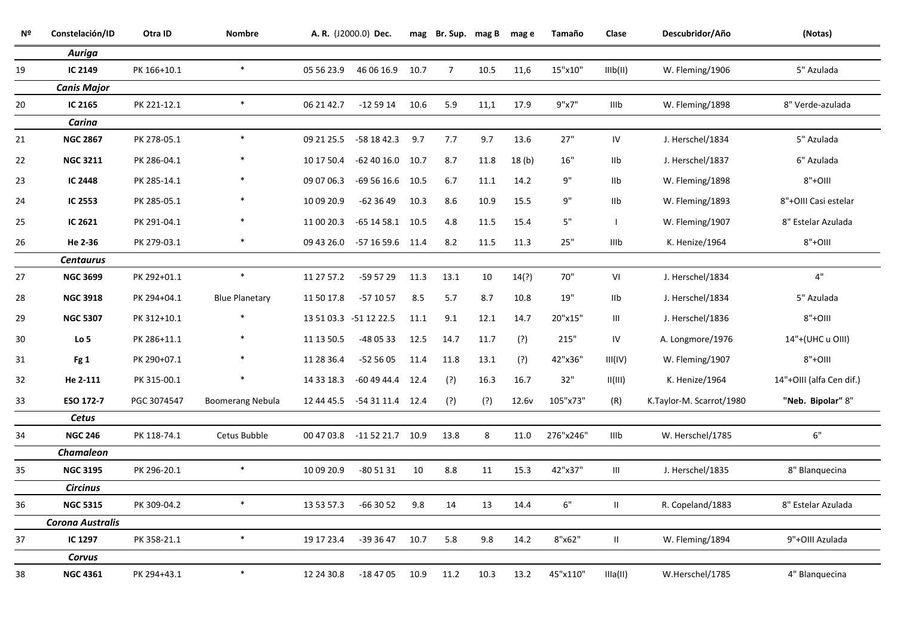| Nº | Constelación/ID         | Otra ID     | <b>Nombre</b>           |            | A. R. (J2000.0) Dec.        |      | mag Br. Sup. mag B mag e |      |                   | Tamaño    | Clase          | Descubridor/Año          | (Notas)                  |
|----|-------------------------|-------------|-------------------------|------------|-----------------------------|------|--------------------------|------|-------------------|-----------|----------------|--------------------------|--------------------------|
|    | <b>Auriga</b>           |             |                         |            |                             |      |                          |      |                   |           |                |                          |                          |
| 19 | IC 2149                 | PK 166+10.1 | $\ast$                  | 05 56 23.9 | 46 06 16.9 10.7             |      | $\overline{7}$           | 10.5 | 11,6              | 15"x10"   | IIIb(II)       | W. Fleming/1906          | 5" Azulada               |
|    | <b>Canis Major</b>      |             |                         |            |                             |      |                          |      |                   |           |                |                          |                          |
| 20 | IC 2165                 | PK 221-12.1 | $\ast$                  | 06 21 42.7 | $-125914$ 10.6              |      | 5.9                      | 11,1 | 17.9              | 9"x7"     | IIIb           | W. Fleming/1898          | 8" Verde-azulada         |
|    | Carina                  |             |                         |            |                             |      |                          |      |                   |           |                |                          |                          |
| 21 | <b>NGC 2867</b>         | PK 278-05.1 | $\ast$                  | 09 21 25.5 | -58 18 42.3                 | 9.7  | 7.7                      | 9.7  | 13.6              | 27"       | ${\sf IV}$     | J. Herschel/1834         | 5" Azulada               |
| 22 | <b>NGC 3211</b>         | PK 286-04.1 |                         | 10 17 50.4 | $-624016.0$ 10.7            |      | 8.7                      | 11.8 | 18(b)             | 16"       | IIb            | J. Herschel/1837         | 6" Azulada               |
| 23 | <b>IC 2448</b>          | PK 285-14.1 |                         | 09 07 06.3 | $-695616.6$ 10.5            |      | 6.7                      | 11.1 | 14.2              | 9"        | IIb            | W. Fleming/1898          | $8"+OIII$                |
| 24 | IC 2553                 | PK 285-05.1 |                         | 10 09 20.9 | $-623649$                   | 10.3 | 8.6                      | 10.9 | 15.5              | 9"        | IIb            | W. Fleming/1893          | 8"+OIII Casi estelar     |
| 25 | IC 2621                 | PK 291-04.1 |                         | 11 00 20.3 | $-65$ 14 58.1 10.5          |      | 4.8                      | 11.5 | 15.4              | 5"        | $\mathbf{I}$   | W. Fleming/1907          | 8" Estelar Azulada       |
| 26 | He 2-36                 | PK 279-03.1 | $\ast$                  |            | 09 43 26.0 -57 16 59.6 11.4 |      | 8.2                      | 11.5 | 11.3              | 25"       | <b>IIIb</b>    | K. Henize/1964           | $8"+OIII$                |
|    | <b>Centaurus</b>        |             |                         |            |                             |      |                          |      |                   |           |                |                          |                          |
| 27 | <b>NGC 3699</b>         | PK 292+01.1 | $\ast$                  | 11 27 57.2 | -59 57 29                   | 11.3 | 13.1                     | 10   | 14(?)             | 70"       | VI             | J. Herschel/1834         | 4"                       |
| 28 | <b>NGC 3918</b>         | PK 294+04.1 | <b>Blue Planetary</b>   | 11 50 17.8 | $-571057$                   | 8.5  | 5.7                      | 8.7  | 10.8              | 19"       | I1b            | J. Herschel/1834         | 5" Azulada               |
| 29 | <b>NGC 5307</b>         | PK 312+10.1 |                         |            | 13 51 03.3 -51 12 22.5      | 11.1 | 9.1                      | 12.1 | 14.7              | 20"x15"   | Ш              | J. Herschel/1836         | $8"+OIII$                |
| 30 | Lo <sub>5</sub>         | PK 286+11.1 |                         | 11 13 50.5 | -48 05 33                   | 12.5 | 14.7                     | 11.7 | (?)               | 215"      | IV             | A. Longmore/1976         | 14"+(UHC u OIII)         |
| 31 | Fg 1                    | PK 290+07.1 |                         | 11 28 36.4 | $-525605$                   | 11.4 | 11.8                     | 13.1 | (?)               | 42"x36"   | III(IV)        | W. Fleming/1907          | $8"+OIII$                |
| 32 | He 2-111                | PK 315-00.1 |                         | 14 33 18.3 | $-604944.4$ 12.4            |      | (?)                      | 16.3 | 16.7              | 32"       | II(III)        | K. Henize/1964           | 14"+OIII (alfa Cen dif.) |
| 33 | ESO 172-7               | PGC 3074547 | <b>Boomerang Nebula</b> |            | 12 44 45.5 -54 31 11.4 12.4 |      | (?)                      | (?)  | 12.6 <sub>v</sub> | 105"x73"  | (R)            | K.Taylor-M. Scarrot/1980 | "Neb. Bipolar" 8"        |
|    | Cetus                   |             |                         |            |                             |      |                          |      |                   |           |                |                          |                          |
| 34 | <b>NGC 246</b>          | PK 118-74.1 | Cetus Bubble            |            | 00 47 03.8 -11 52 21.7 10.9 |      | 13.8                     | 8    | 11.0              | 276"x246" | IIIb           | W. Herschel/1785         | $6"$                     |
|    | <b>Chamaleon</b>        |             |                         |            |                             |      |                          |      |                   |           |                |                          |                          |
| 35 | <b>NGC 3195</b>         | PK 296-20.1 | $\ast$                  | 10 09 20.9 | $-805131$                   | 10   | 8.8                      | 11   | 15.3              | 42"x37"   | $\mathbf{III}$ | J. Herschel/1835         | 8" Blanquecina           |
|    | <b>Circinus</b>         |             |                         |            |                             |      |                          |      |                   |           |                |                          |                          |
| 36 | <b>NGC 5315</b>         | PK 309-04.2 | $\ast$                  | 13 53 57.3 | $-663052$                   | 9.8  | 14                       | 13   | 14.4              | $6"$      | $\mathbf{II}$  | R. Copeland/1883         | 8" Estelar Azulada       |
|    | <b>Corona Australis</b> |             |                         |            |                             |      |                          |      |                   |           |                |                          |                          |
| 37 | IC 1297                 | PK 358-21.1 | $\ast$                  | 19 17 23.4 | -39 36 47                   | 10.7 | 5.8                      | 9.8  | 14.2              | 8"x62"    | $\mathbf{II}$  | W. Fleming/1894          | 9"+OIII Azulada          |
|    | Corvus                  |             |                         |            |                             |      |                          |      |                   |           |                |                          |                          |
| 38 | <b>NGC 4361</b>         | PK 294+43.1 | $\ast$                  | 12 24 30.8 | $-184705$                   | 10.9 | 11.2                     | 10.3 | 13.2              | 45"x110"  | IIIa(II)       | W.Herschel/1785          | 4" Blanquecina           |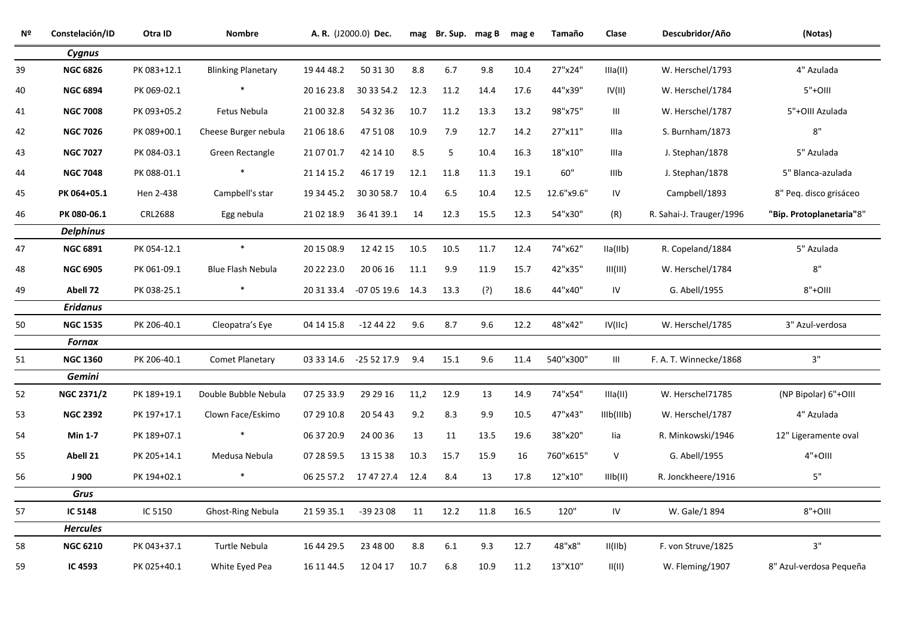| Nº | Constelación/ID   | Otra ID        | <b>Nombre</b>             |            | A. R. (J2000.0) Dec.        | mag  | Br. Sup. mag B |      | mag e | Tamaño     | Clase                    | Descubridor/Año          | (Notas)                  |
|----|-------------------|----------------|---------------------------|------------|-----------------------------|------|----------------|------|-------|------------|--------------------------|--------------------------|--------------------------|
|    | Cygnus            |                |                           |            |                             |      |                |      |       |            |                          |                          |                          |
| 39 | <b>NGC 6826</b>   | PK 083+12.1    | <b>Blinking Planetary</b> | 19 44 48.2 | 50 31 30                    | 8.8  | 6.7            | 9.8  | 10.4  | 27"x24"    | IIIa(II)                 | W. Herschel/1793         | 4" Azulada               |
| 40 | <b>NGC 6894</b>   | PK 069-02.1    | $\ast$                    | 20 16 23.8 | 30 33 54.2 12.3             |      | 11.2           | 14.4 | 17.6  | 44"x39"    | IV(II)                   | W. Herschel/1784         | $5"+OIII$                |
| 41 | <b>NGC 7008</b>   | PK 093+05.2    | Fetus Nebula              | 21 00 32.8 | 54 32 36                    | 10.7 | 11.2           | 13.3 | 13.2  | 98"x75"    | III                      | W. Herschel/1787         | 5"+OIII Azulada          |
| 42 | <b>NGC 7026</b>   | PK 089+00.1    | Cheese Burger nebula      | 21 06 18.6 | 47 51 08                    | 10.9 | 7.9            | 12.7 | 14.2  | 27"x11"    | Illa                     | S. Burnham/1873          | $8"$                     |
| 43 | <b>NGC 7027</b>   | PK 084-03.1    | Green Rectangle           | 21 07 01.7 | 42 14 10                    | 8.5  | 5              | 10.4 | 16.3  | 18"x10"    | Illa                     | J. Stephan/1878          | 5" Azulada               |
| 44 | <b>NGC 7048</b>   | PK 088-01.1    | $\ast$                    | 21 14 15.2 | 46 17 19                    | 12.1 | 11.8           | 11.3 | 19.1  | 60"        | IIIb                     | J. Stephan/1878          | 5" Blanca-azulada        |
| 45 | PK 064+05.1       | Hen 2-438      | Campbell's star           | 19 34 45.2 | 30 30 58.7                  | 10.4 | 6.5            | 10.4 | 12.5  | 12.6"x9.6" | IV                       | Campbell/1893            | 8" Peg. disco grisáceo   |
| 46 | PK 080-06.1       | <b>CRL2688</b> | Egg nebula                | 21 02 18.9 | 36 41 39.1                  | 14   | 12.3           | 15.5 | 12.3  | 54"x30"    | (R)                      | R. Sahai-J. Trauger/1996 | "Bip. Protoplanetaria"8" |
|    | <b>Delphinus</b>  |                |                           |            |                             |      |                |      |       |            |                          |                          |                          |
| 47 | <b>NGC 6891</b>   | PK 054-12.1    | $\ast$                    | 20 15 08.9 | 12 42 15                    | 10.5 | 10.5           | 11.7 | 12.4  | 74"x62"    | IIa(IIb)                 | R. Copeland/1884         | 5" Azulada               |
| 48 | <b>NGC 6905</b>   | PK 061-09.1    | Blue Flash Nebula         | 20 22 23.0 | 20 06 16                    | 11.1 | 9.9            | 11.9 | 15.7  | 42"x35"    | III(III)                 | W. Herschel/1784         | $8"$                     |
| 49 | Abell 72          | PK 038-25.1    | $\ast$                    |            | 20 31 33.4 -07 05 19.6 14.3 |      | 13.3           | (?)  | 18.6  | 44"x40"    | IV                       | G. Abell/1955            | 8"+OIII                  |
|    | <b>Eridanus</b>   |                |                           |            |                             |      |                |      |       |            |                          |                          |                          |
| 50 | <b>NGC 1535</b>   | PK 206-40.1    | Cleopatra's Eye           | 04 14 15.8 | $-12442$                    | 9.6  | 8.7            | 9.6  | 12.2  | 48"x42"    | IV(IIc)                  | W. Herschel/1785         | 3" Azul-verdosa          |
|    | <b>Fornax</b>     |                |                           |            |                             |      |                |      |       |            |                          |                          |                          |
| 51 | <b>NGC 1360</b>   | PK 206-40.1    | <b>Comet Planetary</b>    |            | 03 33 14.6 -25 52 17.9 9.4  |      | 15.1           | 9.6  | 11.4  | 540"x300"  | III                      | F. A. T. Winnecke/1868   | 3"                       |
|    | Gemini            |                |                           |            |                             |      |                |      |       |            |                          |                          |                          |
| 52 | <b>NGC 2371/2</b> | PK 189+19.1    | Double Bubble Nebula      | 07 25 33.9 | 29 29 16                    | 11,2 | 12.9           | 13   | 14.9  | 74"x54"    | IIIa(II)                 | W. Herschel71785         | (NP Bipolar) 6"+OIII     |
| 53 | <b>NGC 2392</b>   | PK 197+17.1    | Clown Face/Eskimo         | 07 29 10.8 | 20 54 43                    | 9.2  | 8.3            | 9.9  | 10.5  | 47"x43"    | IIIb(IIIb)               | W. Herschel/1787         | 4" Azulada               |
| 54 | <b>Min 1-7</b>    | PK 189+07.1    | $\ast$                    | 06 37 20.9 | 24 00 36                    | 13   | 11             | 13.5 | 19.6  | 38"x20"    | lia                      | R. Minkowski/1946        | 12" Ligeramente oval     |
| 55 | Abell 21          | PK 205+14.1    | Medusa Nebula             | 07 28 59.5 | 13 15 38                    | 10.3 | 15.7           | 15.9 | 16    | 760"x615"  | $\vee$                   | G. Abell/1955            | $4"+OIII$                |
| 56 | J 900             | PK 194+02.1    | $\ast$                    |            | 06 25 57.2 17 47 27.4 12.4  |      | 8.4            | 13   | 17.8  | 12"x10"    | IIIb(II)                 | R. Jonckheere/1916       | $5"$                     |
|    | Grus              |                |                           |            |                             |      |                |      |       |            |                          |                          |                          |
| 57 | IC 5148           | IC 5150        | Ghost-Ring Nebula         | 21 59 35.1 | $-392308$                   | 11   | 12.2           | 11.8 | 16.5  | 120"       | ${\sf IV}$               | W. Gale/1 894            | $8"+OIII$                |
|    | <b>Hercules</b>   |                |                           |            |                             |      |                |      |       |            |                          |                          |                          |
| 58 | <b>NGC 6210</b>   | PK 043+37.1    | Turtle Nebula             | 16 44 29.5 | 23 48 00                    | 8.8  | 6.1            | 9.3  | 12.7  | 48"x8"     | II(IIb)                  | F. von Struve/1825       | 3"                       |
| 59 | IC 4593           | PK 025+40.1    | White Eyed Pea            | 16 11 44.5 | 12 04 17                    | 10.7 | 6.8            | 10.9 | 11.2  | 13"X10"    | $\mathbb{H}(\mathbb{H})$ | W. Fleming/1907          | 8" Azul-verdosa Pequeña  |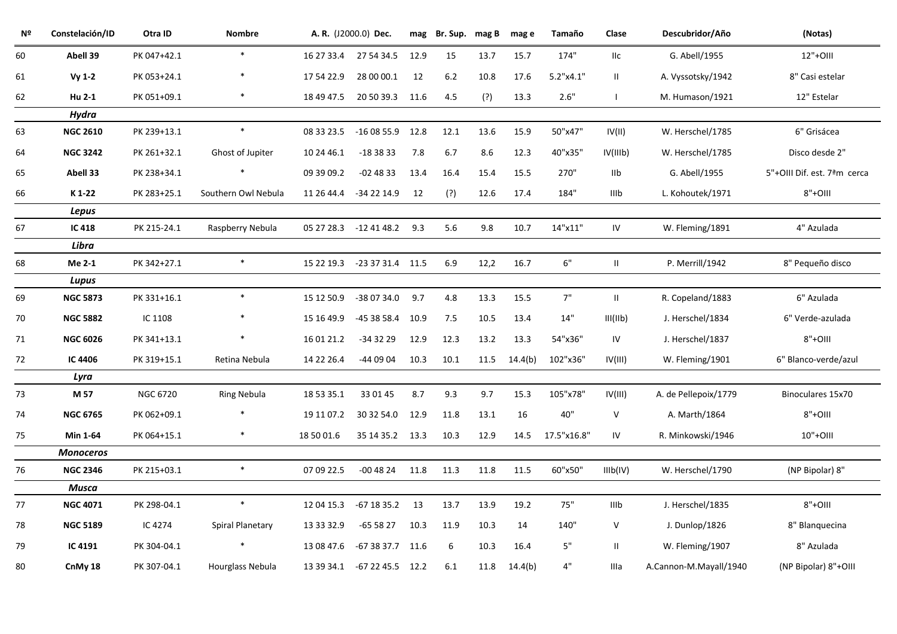| Nº | Constelación/ID | Otra ID         | <b>Nombre</b>       |            | A. R. (J2000.0) Dec.        | mag  | Br. Sup. | mag B | mag e          | Tamaño      | Clase         | Descubridor/Año        | (Notas)                     |
|----|-----------------|-----------------|---------------------|------------|-----------------------------|------|----------|-------|----------------|-------------|---------------|------------------------|-----------------------------|
| 60 | Abell 39        | PK 047+42.1     | $\ast$              | 16 27 33.4 | 27 54 34.5                  | 12.9 | 15       | 13.7  | 15.7           | 174"        | IIc           | G. Abell/1955          | 12"+0III                    |
| 61 | $Vy$ 1-2        | PK 053+24.1     |                     | 17 54 22.9 | 28 00 00.1                  | 12   | 6.2      | 10.8  | 17.6           | 5.2"x4.1"   | Ш.            | A. Vyssotsky/1942      | 8" Casi estelar             |
| 62 | Hu 2-1          | PK 051+09.1     | $\ast$              | 18 49 47.5 | 20 50 39.3 11.6             |      | 4.5      | (?)   | 13.3           | 2.6"        |               | M. Humason/1921        | 12" Estelar                 |
|    | <b>Hydra</b>    |                 |                     |            |                             |      |          |       |                |             |               |                        |                             |
| 63 | <b>NGC 2610</b> | PK 239+13.1     | $\ast$              | 08 33 23.5 | $-160855.9$ 12.8            |      | 12.1     | 13.6  | 15.9           | 50"x47"     | IV(II)        | W. Herschel/1785       | 6" Grisácea                 |
| 64 | <b>NGC 3242</b> | PK 261+32.1     | Ghost of Jupiter    | 10 24 46.1 | $-183833$                   | 7.8  | 6.7      | 8.6   | 12.3           | 40"x35"     | IV(IIIb)      | W. Herschel/1785       | Disco desde 2"              |
| 65 | Abell 33        | PK 238+34.1     |                     | 09 39 09.2 | $-024833$                   | 13.4 | 16.4     | 15.4  | 15.5           | 270"        | llb           | G. Abell/1955          | 5"+OIII Dif. est. 7ªm cerca |
| 66 | K 1-22          | PK 283+25.1     | Southern Owl Nebula | 11 26 44.4 | -34 22 14.9                 | 12   | (?)      | 12.6  | 17.4           | 184"        | IIIb          | L. Kohoutek/1971       | $8"+OIII$                   |
|    | Lepus           |                 |                     |            |                             |      |          |       |                |             |               |                        |                             |
| 67 | IC 418          | PK 215-24.1     | Raspberry Nebula    |            | 05 27 28.3 -12 41 48.2 9.3  |      | 5.6      | 9.8   | 10.7           | 14"x11"     | IV            | W. Fleming/1891        | 4" Azulada                  |
|    | Libra           |                 |                     |            |                             |      |          |       |                |             |               |                        |                             |
| 68 | Me 2-1          | PK 342+27.1     | $\ast$              |            | 15 22 19.3 -23 37 31.4 11.5 |      | 6.9      | 12,2  | 16.7           | 6"          | Ш.            | P. Merrill/1942        | 8" Pequeño disco            |
|    | Lupus           |                 |                     |            |                             |      |          |       |                |             |               |                        |                             |
| 69 | <b>NGC 5873</b> | PK 331+16.1     | $\ast$              | 15 12 50.9 | -38 07 34.0                 | 9.7  | $4.8\,$  | 13.3  | 15.5           | $7"$        | $\mathbf{II}$ | R. Copeland/1883       | 6" Azulada                  |
| 70 | <b>NGC 5882</b> | IC 1108         |                     | 15 16 49.9 | -45 38 58.4 10.9            |      | 7.5      | 10.5  | 13.4           | 14"         | III(IIb)      | J. Herschel/1834       | 6" Verde-azulada            |
| 71 | <b>NGC 6026</b> | PK 341+13.1     |                     | 16 01 21.2 | $-343229$                   | 12.9 | 12.3     | 13.2  | 13.3           | 54"x36"     | IV            | J. Herschel/1837       | $8"+OIII$                   |
| 72 | IC 4406         | PK 319+15.1     | Retina Nebula       | 14 22 26.4 | -44 09 04                   | 10.3 | 10.1     |       | 11.5 $14.4(b)$ | 102"x36"    | IV(III)       | W. Fleming/1901        | 6" Blanco-verde/azul        |
|    | Lyra            |                 |                     |            |                             |      |          |       |                |             |               |                        |                             |
| 73 | M 57            | <b>NGC 6720</b> | Ring Nebula         | 18 53 35.1 | 33 01 45                    | 8.7  | 9.3      | 9.7   | 15.3           | 105"x78"    | IV(III)       | A. de Pellepoix/1779   | Binoculares 15x70           |
| 74 | <b>NGC 6765</b> | PK 062+09.1     |                     | 19 11 07.2 | 30 32 54.0                  | 12.9 | 11.8     | 13.1  | 16             | 40"         | V             | A. Marth/1864          | $8"+OIII$                   |
| 75 | Min 1-64        | PK 064+15.1     | $\ast$              | 18 50 01.6 | 35 14 35.2 13.3             |      | 10.3     | 12.9  | 14.5           | 17.5"x16.8" | IV            | R. Minkowski/1946      | 10"+OIII                    |
|    | Monoceros       |                 |                     |            |                             |      |          |       |                |             |               |                        |                             |
| 76 | <b>NGC 2346</b> | PK 215+03.1     | $\ast$              | 07 09 22.5 | $-004824$ 11.8              |      | 11.3     | 11.8  | 11.5           | 60"x50"     | IIIb(IV)      | W. Herschel/1790       | (NP Bipolar) 8"             |
|    | Musca           |                 |                     |            |                             |      |          |       |                |             |               |                        |                             |
| 77 | <b>NGC 4071</b> | PK 298-04.1     | $\ast$              | 12 04 15.3 | -67 18 35.2                 | 13   | 13.7     | 13.9  | 19.2           | 75"         | IIIb          | J. Herschel/1835       | $8"+OIII$                   |
| 78 | <b>NGC 5189</b> | IC 4274         | Spiral Planetary    | 13 33 32.9 | -65 58 27                   | 10.3 | 11.9     | 10.3  | 14             | 140"        | V             | J. Dunlop/1826         | 8" Blanquecina              |
| 79 | IC 4191         | PK 304-04.1     | $\ast$              | 13 08 47.6 | $-673837.7$ 11.6            |      | 6        | 10.3  | 16.4           | 5"          | Ш.            | W. Fleming/1907        | 8" Azulada                  |
| 80 | CnMy 18         | PK 307-04.1     | Hourglass Nebula    |            | 13 39 34.1 -67 22 45.5 12.2 |      | 6.1      | 11.8  | 14.4(b)        | $4"$        | Illa          | A.Cannon-M.Mayall/1940 | (NP Bipolar) 8"+OIII        |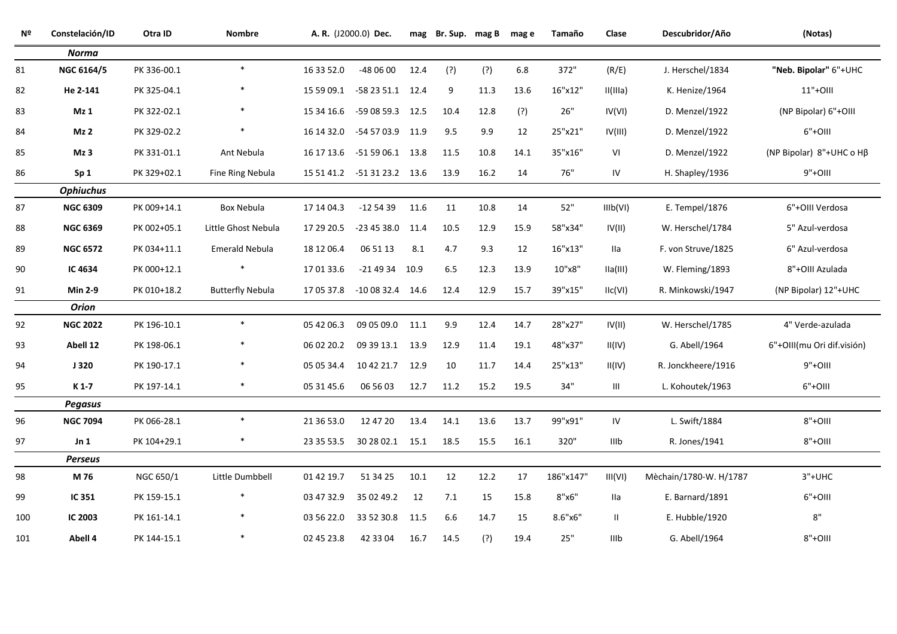| Nº  | Constelación/ID  | Otra ID     | <b>Nombre</b>           |            | A. R. (J2000.0) Dec.        |      | mag Br. Sup. mag B |      | mag e | Tamaño    | Clase    | Descubridor/Año        | (Notas)                           |
|-----|------------------|-------------|-------------------------|------------|-----------------------------|------|--------------------|------|-------|-----------|----------|------------------------|-----------------------------------|
|     | <b>Norma</b>     |             |                         |            |                             |      |                    |      |       |           |          |                        |                                   |
| 81  | NGC 6164/5       | PK 336-00.1 | $\ast$                  | 16 33 52.0 | -48 06 00                   | 12.4 | (?)                | (?)  | 6.8   | 372"      | (R/E)    | J. Herschel/1834       | "Neb. Bipolar" 6"+UHC             |
| 82  | He 2-141         | PK 325-04.1 | *                       |            | 15 59 09.1 -58 23 51.1 12.4 |      | 9                  | 11.3 | 13.6  | 16"x12"   | II(IIIa) | K. Henize/1964         | 11"+0III                          |
| 83  | Mz 1             | PK 322-02.1 | $\ast$                  | 15 34 16.6 | -59 08 59.3 12.5            |      | 10.4               | 12.8 | (?)   | $26"$     | IV(VI)   | D. Menzel/1922         | (NP Bipolar) 6"+OIII              |
| 84  | Mz 2             | PK 329-02.2 | $\ast$                  |            | 16 14 32.0 -54 57 03.9 11.9 |      | 9.5                | 9.9  | 12    | 25"x21"   | IV(III)  | D. Menzel/1922         | $6"+OIII$                         |
| 85  | Mz <sub>3</sub>  | PK 331-01.1 | Ant Nebula              | 16 17 13.6 | -51 59 06.1 13.8            |      | 11.5               | 10.8 | 14.1  | 35"x16"   | VI       | D. Menzel/1922         | (NP Bipolar) $8"+UHC$ o H $\beta$ |
| 86  | Sp <sub>1</sub>  | PK 329+02.1 | Fine Ring Nebula        |            | 15 51 41.2 -51 31 23.2 13.6 |      | 13.9               | 16.2 | 14    | 76"       | IV       | H. Shapley/1936        | $9"+OIII$                         |
|     | <b>Ophiuchus</b> |             |                         |            |                             |      |                    |      |       |           |          |                        |                                   |
| 87  | <b>NGC 6309</b>  | PK 009+14.1 | Box Nebula              | 17 14 04.3 | $-125439$                   | 11.6 | 11                 | 10.8 | 14    | 52"       | IIIb(VI) | E. Tempel/1876         | 6"+OIII Verdosa                   |
| 88  | <b>NGC 6369</b>  | PK 002+05.1 | Little Ghost Nebula     | 17 29 20.5 | $-234538.0$ 11.4            |      | 10.5               | 12.9 | 15.9  | 58"x34"   | IV(II)   | W. Herschel/1784       | 5" Azul-verdosa                   |
| 89  | <b>NGC 6572</b>  | PK 034+11.1 | <b>Emerald Nebula</b>   | 18 12 06.4 | 06 51 13                    | 8.1  | 4.7                | 9.3  | 12    | 16"x13"   | lla      | F. von Struve/1825     | 6" Azul-verdosa                   |
| 90  | IC 4634          | PK 000+12.1 | *                       | 17 01 33.6 | $-214934$ 10.9              |      | 6.5                | 12.3 | 13.9  | 10"x8"    | IIa(III) | W. Fleming/1893        | 8"+OIII Azulada                   |
| 91  | <b>Min 2-9</b>   | PK 010+18.2 | <b>Butterfly Nebula</b> | 17 05 37.8 | $-100832.4$ 14.6            |      | 12.4               | 12.9 | 15.7  | 39"x15"   | IIC(VI)  | R. Minkowski/1947      | (NP Bipolar) 12"+UHC              |
|     | <b>Orion</b>     |             |                         |            |                             |      |                    |      |       |           |          |                        |                                   |
| 92  | <b>NGC 2022</b>  | PK 196-10.1 | $\ast$                  | 05 42 06.3 | 09 05 09.0 11.1             |      | 9.9                | 12.4 | 14.7  | 28"x27"   | IV(II)   | W. Herschel/1785       | 4" Verde-azulada                  |
| 93  | Abell 12         | PK 198-06.1 | *                       | 06 02 20.2 | 09 39 13.1 13.9             |      | 12.9               | 11.4 | 19.1  | 48"x37"   | II(IV)   | G. Abell/1964          | 6"+OIII(mu Ori dif.visión)        |
| 94  | J320             | PK 190-17.1 | $\ast$                  | 05 05 34.4 | 10 42 21.7 12.9             |      | 10                 | 11.7 | 14.4  | 25"x13"   | II(IV)   | R. Jonckheere/1916     | $9"+OIII$                         |
| 95  | K 1-7            | PK 197-14.1 | $\ast$                  | 05 31 45.6 | 06 56 03                    | 12.7 | 11.2               | 15.2 | 19.5  | 34"       | Ш        | L. Kohoutek/1963       | $6"+OIII$                         |
|     | <b>Pegasus</b>   |             |                         |            |                             |      |                    |      |       |           |          |                        |                                   |
| 96  | <b>NGC 7094</b>  | PK 066-28.1 | $\ast$                  | 21 36 53.0 | 12 47 20                    | 13.4 | 14.1               | 13.6 | 13.7  | 99"x91"   | IV       | L. Swift/1884          | $8"+OIII$                         |
| 97  | Jn <sub>1</sub>  | PK 104+29.1 | *                       | 23 35 53.5 | 30 28 02.1 15.1             |      | 18.5               | 15.5 | 16.1  | 320"      | IIIb     | R. Jones/1941          | $8"+OIII$                         |
|     | <b>Perseus</b>   |             |                         |            |                             |      |                    |      |       |           |          |                        |                                   |
| 98  | M 76             | NGC 650/1   | Little Dumbbell         | 01 42 19.7 | 51 34 25                    | 10.1 | 12                 | 12.2 | 17    | 186"x147" | III(VI)  | Mèchain/1780-W. H/1787 | $3"+UHC$                          |
| 99  | IC 351           | PK 159-15.1 |                         | 03 47 32.9 | 35 02 49.2                  | 12   | 7.1                | 15   | 15.8  | 8"x6"     | lla      | E. Barnard/1891        | $6"+OIII$                         |
| 100 | IC 2003          | PK 161-14.1 | $\ast$                  | 03 56 22.0 | 33 52 30.8 11.5             |      | 6.6                | 14.7 | 15    | 8.6"x6"   | Ш.       | E. Hubble/1920         | $8"$                              |
| 101 | Abell 4          | PK 144-15.1 | $\ast$                  | 02 45 23.8 | 42 33 04                    | 16.7 | 14.5               | (?)  | 19.4  | $25"$     | IIIb     | G. Abell/1964          | $8"+OIII$                         |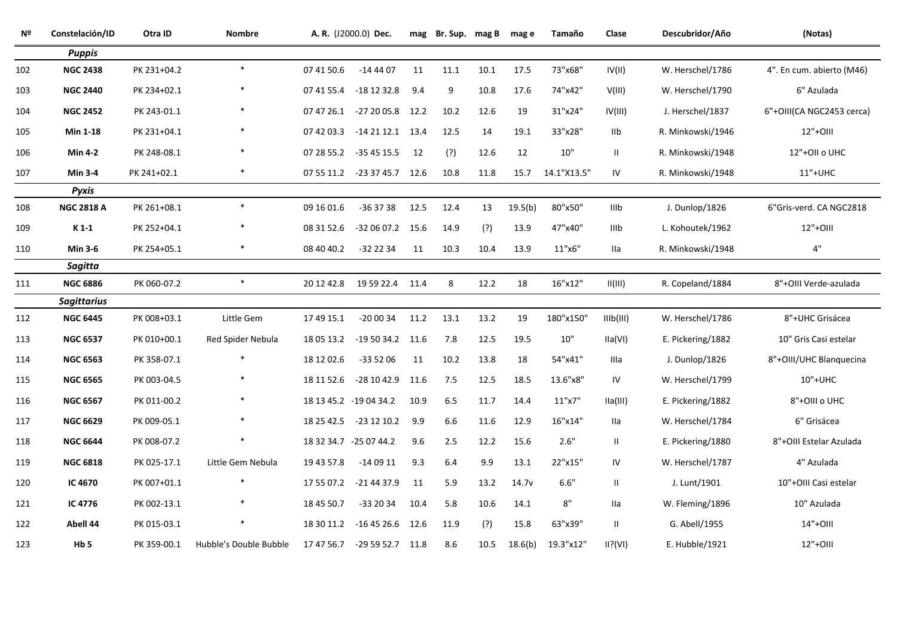| Nº  | Constelación/ID    | Otra ID     | <b>Nombre</b>          |            | A. R. (J2000.0) Dec.        |      | mag Br. Sup. mag B mag e |      |         | Tamaño      | Clase         | Descubridor/Año   | (Notas)                   |
|-----|--------------------|-------------|------------------------|------------|-----------------------------|------|--------------------------|------|---------|-------------|---------------|-------------------|---------------------------|
|     | <b>Puppis</b>      |             |                        |            |                             |      |                          |      |         |             |               |                   |                           |
| 102 | <b>NGC 2438</b>    | PK 231+04.2 | $\ast$                 | 07 41 50.6 | $-144407$                   | 11   | 11.1                     | 10.1 | 17.5    | 73"x68"     | IV(II)        | W. Herschel/1786  | 4". En cum. abierto (M46) |
| 103 | <b>NGC 2440</b>    | PK 234+02.1 |                        | 07 41 55.4 | -18 12 32.8                 | 9.4  | 9                        | 10.8 | 17.6    | 74"x42"     | V(III)        | W. Herschel/1790  | 6" Azulada                |
| 104 | <b>NGC 2452</b>    | PK 243-01.1 |                        |            | 07 47 26.1 -27 20 05.8 12.2 |      | 10.2                     | 12.6 | 19      | 31"x24"     | IV(III)       | J. Herschel/1837  | 6"+OIII(CA NGC2453 cerca) |
| 105 | <b>Min 1-18</b>    | PK 231+04.1 | $\ast$                 | 07 42 03.3 | $-142112.1$ 13.4            |      | 12.5                     | 14   | 19.1    | 33"x28"     | IIb           | R. Minkowski/1946 | $12"+OIII$                |
| 106 | <b>Min 4-2</b>     | PK 248-08.1 |                        | 07 28 55.2 | -35 45 15.5                 | 12   | (?)                      | 12.6 | 12      | $10"$       | $\mathbf{H}$  | R. Minkowski/1948 | 12"+OII o UHC             |
| 107 | <b>Min 3-4</b>     | PK 241+02.1 |                        |            | 07 55 11.2 -23 37 45.7 12.6 |      | 10.8                     | 11.8 | 15.7    | 14.1"X13.5" | IV            | R. Minkowski/1948 | 11"+UHC                   |
|     | <b>Pyxis</b>       |             |                        |            |                             |      |                          |      |         |             |               |                   |                           |
| 108 | <b>NGC 2818 A</b>  | PK 261+08.1 | $\ast$                 | 09 16 01.6 | $-363738$                   | 12.5 | 12.4                     | 13   | 19.5(b) | 80"x50"     | IIIb          | J. Dunlop/1826    | 6"Gris-verd. CA NGC2818   |
| 109 | $K1-1$             | PK 252+04.1 |                        | 08 31 52.6 | $-320607.2$ 15.6            |      | 14.9                     | (?)  | 13.9    | 47"x40"     | IIIb          | L. Kohoutek/1962  | 12"+OIII                  |
| 110 | <b>Min 3-6</b>     | PK 254+05.1 | $\ast$                 | 08 40 40.2 | -32 22 34                   | 11   | 10.3                     | 10.4 | 13.9    | 11"x6"      | Ila           | R. Minkowski/1948 | 4"                        |
|     | <b>Sagitta</b>     |             |                        |            |                             |      |                          |      |         |             |               |                   |                           |
| 111 | <b>NGC 6886</b>    | PK 060-07.2 | $\ast$                 | 20 12 42.8 | 19 59 22.4 11.4             |      | 8                        | 12.2 | 18      | 16"x12"     | H(HI)         | R. Copeland/1884  | 8"+OIII Verde-azulada     |
|     | <b>Sagittarius</b> |             |                        |            |                             |      |                          |      |         |             |               |                   |                           |
| 112 | <b>NGC 6445</b>    | PK 008+03.1 | Little Gem             | 17 49 15.1 | $-200034$                   | 11.2 | 13.1                     | 13.2 | 19      | 180"x150"   | IIIb(III)     | W. Herschel/1786  | 8"+UHC Grisácea           |
| 113 | <b>NGC 6537</b>    | PK 010+00.1 | Red Spider Nebula      | 18 05 13.2 | $-195034.2$ 11.6            |      | 7.8                      | 12.5 | 19.5    | $10"$       | IIa(VI)       | E. Pickering/1882 | 10" Gris Casi estelar     |
| 114 | <b>NGC 6563</b>    | PK 358-07.1 |                        | 18 12 02.6 | $-335206$                   | 11   | 10.2                     | 13.8 | 18      | 54"x41"     | IIIa          | J. Dunlop/1826    | 8"+OIII/UHC Blanquecina   |
| 115 | <b>NGC 6565</b>    | PK 003-04.5 |                        | 18 11 52.6 | $-281042.911.6$             |      | 7.5                      | 12.5 | 18.5    | 13.6"x8"    | IV            | W. Herschel/1799  | 10"+UHC                   |
| 116 | <b>NGC 6567</b>    | PK 011-00.2 |                        |            | 18 13 45.2 -19 04 34.2      | 10.9 | 6.5                      | 11.7 | 14.4    | 11"x7"      | IIa(III)      | E. Pickering/1882 | 8"+OIII o UHC             |
| 117 | <b>NGC 6629</b>    | PK 009-05.1 |                        |            | 18 25 42.5 -23 12 10.2      | 9.9  | 6.6                      | 11.6 | 12.9    | 16"x14"     | lla           | W. Herschel/1784  | 6" Grisácea               |
| 118 | <b>NGC 6644</b>    | PK 008-07.2 |                        |            | 18 32 34.7 -25 07 44.2      | 9.6  | 2.5                      | 12.2 | 15.6    | 2.6"        | $\mathbf{II}$ | E. Pickering/1880 | 8"+OIII Estelar Azulada   |
| 119 | <b>NGC 6818</b>    | PK 025-17.1 | Little Gem Nebula      | 19 43 57.8 | $-140911$                   | 9.3  | 6.4                      | 9.9  | 13.1    | 22"x15"     | IV            | W. Herschel/1787  | 4" Azulada                |
| 120 | IC 4670            | PK 007+01.1 |                        | 17 55 07.2 | -21 44 37.9                 | 11   | 5.9                      | 13.2 | 14.7v   | 6.6"        | $\mathbf{II}$ | J. Lunt/1901      | 10"+OIII Casi estelar     |
| 121 | IC 4776            | PK 002-13.1 |                        | 18 45 50.7 | $-332034$                   | 10.4 | 5.8                      | 10.6 | 14.1    | 8"          | <b>Ila</b>    | W. Fleming/1896   | 10" Azulada               |
| 122 | Abell 44           | PK 015-03.1 |                        | 18 30 11.2 | $-164526.6$ 12.6            |      | 11.9                     | (?)  | 15.8    | 63"x39"     | $\mathbf{H}$  | G. Abell/1955     | 14"+0III                  |
| 123 | Hb <sub>5</sub>    | PK 359-00.1 | Hubble's Double Bubble | 17 47 56.7 | $-295952.7$ 11.8            |      | 8.6                      | 10.5 | 18.6(b) | 19.3"x12"   | $II?$ (VI)    | E. Hubble/1921    | 12"+OIII                  |